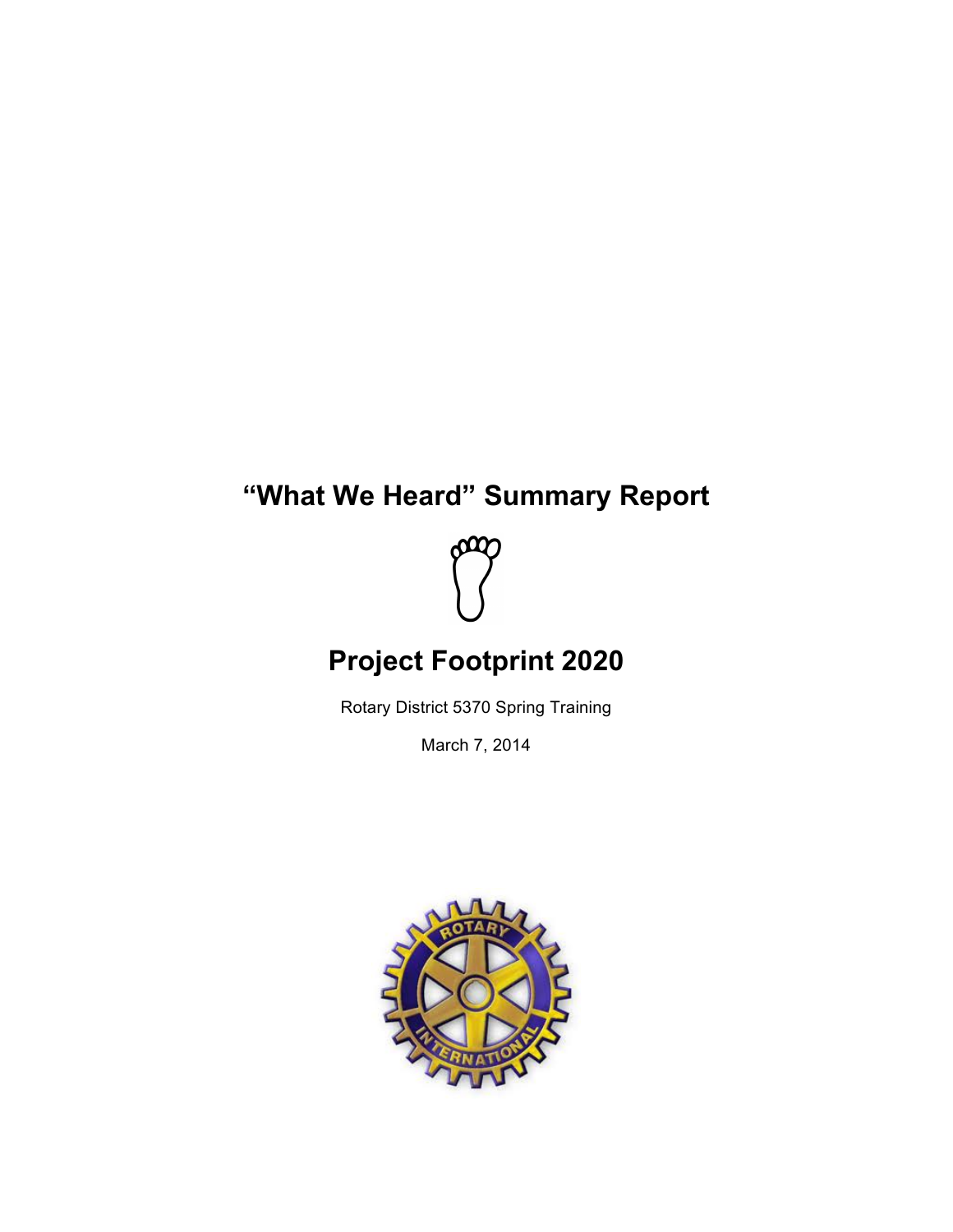# **"What We Heard" Summary Report**



# **Project Footprint 2020**

Rotary District 5370 Spring Training

March 7, 2014

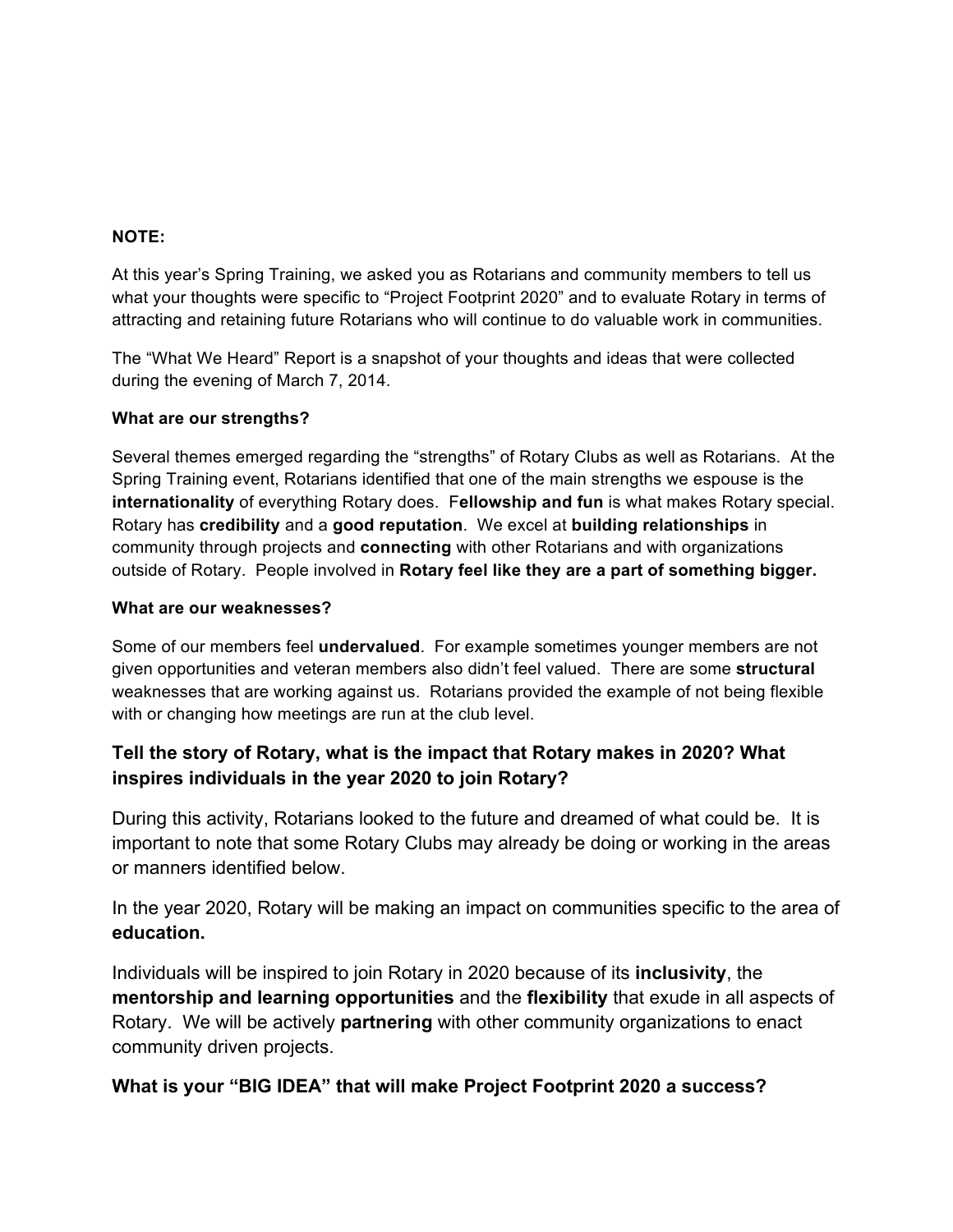### **NOTE:**

At this year's Spring Training, we asked you as Rotarians and community members to tell us what your thoughts were specific to "Project Footprint 2020" and to evaluate Rotary in terms of attracting and retaining future Rotarians who will continue to do valuable work in communities.

The "What We Heard" Report is a snapshot of your thoughts and ideas that were collected during the evening of March 7, 2014.

#### **What are our strengths?**

Several themes emerged regarding the "strengths" of Rotary Clubs as well as Rotarians. At the Spring Training event, Rotarians identified that one of the main strengths we espouse is the **internationality** of everything Rotary does. F**ellowship and fun** is what makes Rotary special. Rotary has **credibility** and a **good reputation**. We excel at **building relationships** in community through projects and **connecting** with other Rotarians and with organizations outside of Rotary. People involved in **Rotary feel like they are a part of something bigger.**

#### **What are our weaknesses?**

Some of our members feel **undervalued**. For example sometimes younger members are not given opportunities and veteran members also didn't feel valued. There are some **structural** weaknesses that are working against us. Rotarians provided the example of not being flexible with or changing how meetings are run at the club level.

## **Tell the story of Rotary, what is the impact that Rotary makes in 2020? What inspires individuals in the year 2020 to join Rotary?**

During this activity, Rotarians looked to the future and dreamed of what could be. It is important to note that some Rotary Clubs may already be doing or working in the areas or manners identified below.

In the year 2020, Rotary will be making an impact on communities specific to the area of **education.** 

Individuals will be inspired to join Rotary in 2020 because of its **inclusivity**, the **mentorship and learning opportunities** and the **flexibility** that exude in all aspects of Rotary. We will be actively **partnering** with other community organizations to enact community driven projects.

### **What is your "BIG IDEA" that will make Project Footprint 2020 a success?**